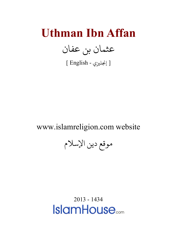## **Uthman Ibn Affan**

عثمان بن عفان

[ إنجليزي - English ]

## www.islamreligion.com website

موقع دين الإسلام

<span id="page-0-0"></span>2013 - 1434**IslamHouse**<sub>com</sub>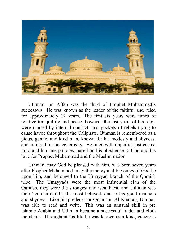

Uthman ibn Affan was the third of Prophet Muhammad's successors. He was known as the leader of the faithful and ruled for approximately 12 years. The first six years were times of relative tranquillity and peace, however the last years of his reign were marred by internal conflict, and pockets of rebels trying to cause havoc throughout the Caliphate. Uthman is remembered as a pious, gentle, and kind man, known for his modesty and shyness, and admired for his generosity. He ruled with impartial justice and mild and humane policies, based on his obedience to God and his love for Prophet Muhammad and the Muslim nation.

Uthman, may God be pleased with him, was born seven years after Prophet Muhammad, may the mercy and blessings of God be upon him, and belonged to the Umayyad branch of the Quraish tribe. The Umayyads were the most influential clan of the Quraish, they were the strongest and wealthiest, and Uthman was their "golden child", the most beloved, due to his good manners and shyness. Like his predecessor Omar ibn Al Khattab, Uthman was able to read and write. This was an unusual skill in pre Islamic Arabia and Uthman became a successful trader and cloth merchant. Throughout his life he was known as a kind, generous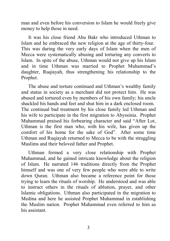man and even before his conversion to Islam he would freely give money to help those in need.

It was his close friend Abu Bakr who introduced Uthman to Islam and he embraced the new religion at the age of thirty-four. This was during the very early days of Islam when the men of Mecca were systematically abusing and torturing any converts to Islam. In spite of the abuse, Uthman would not give up his Islam and in time Uthman was married to Prophet Muhammad's daughter, Ruqiayah, thus strengthening his relationship to the Prophet.

The abuse and torture continued and Uthman's wealthy family and status in society as a merchant did not protect him. He was abused and tortured even by members of his own family; his uncle shackled his hands and feet and shut him in a dark enclosed room. The continual bad treatment by his close family led Uthman and his wife to participate in the first migration to Abyssinia. Prophet Muhammad praised his forbearing character and said "After Lot, Uthman is the first man who, with his wife, has given up the comfort of his home for the sake of God". After some time Uthman and Ruqiayah returned to Mecca to be with the struggling Muslims and their beloved father and Prophet.

Uthman formed a very close relationship with Prophet Muhammad, and he gained intricate knowledge about the religion of Islam. He narrated 146 traditions directly from the Prophet himself and was one of very few people who were able to write down Quran. Uthman also became a reference point for those trying to learn the rituals of worship. He understood and was able to instruct others in the rituals of ablution, prayer, and other Islamic obligations. Uthman also participated in the migration to Medina and here he assisted Prophet Muhammad in establishing the Muslim nation. Prophet Muhammad even referred to him as his assistant.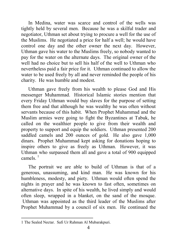In Medina, water was scarce and control of the wells was tightly held by several men. Because he was a skilful trader and negotiator, Uthman set about trying to procure a well for the use of the Muslims. He negotiated a price for half a well; he would have control one day and the other owner the next day. However, Uthman gave his water to the Muslims freely, so nobody wanted to pay for the water on the alternate days. The original owner of the well had no choice but to sell his half of the well to Uthman who nevertheless paid a fair price for it. Uthman continued to allow the water to be used freely by all and never reminded the people of his charity. He was humble and modest.

Uthman gave freely from his wealth to please God and His messenger Muhammad. Historical Islamic stories mention that every Friday Uthman would buy slaves for the purpose of setting them free and that although he was wealthy he was often without servants because of this habit. When Prophet Muhammad and the Muslim armies were going to fight the Byzantines at Tabuk, he called on the wealthier people to give from their wealth and property to support and equip the soldiers. Uthman presented 200 saddled camels and 200 ounces of gold. He also gave 1,000 dinars. Prophet Muhammad kept asking for donations hoping to inspire others to give as freely as Uthman. However, it was Uthman who surpassed them all and gave a total of 900 equipped  $camels$ <sup>[1](#page-0-0)</sup>

The portrait we are able to build of Uthman is that of a generous, unassuming, and kind man. He was known for his humbleness, modesty, and piety. Uthman would often spend the nights in prayer and he was known to fast often, sometimes on alternative days. In spite of his wealth, he lived simply and would often sleep, wrapped in a blanket, on the sand of the mosque. Uthman was appointed as the third leader of the Muslims after Prophet Muhammad by a council of six men. He continued the

j

<span id="page-3-0"></span><sup>1</sup> The Sealed Nectar. Safi Ur Rahman Al Mubarakpuri.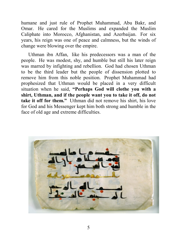humane and just rule of Prophet Muhammad, Abu Bakr, and Omar. He cared for the Muslims and expanded the Muslim Caliphate into Morocco, Afghanistan, and Azerbaijan. For six years, his reign was one of peace and calmness, but the winds of change were blowing over the empire.

Uthman ibn Affan, like his predecessors was a man of the people. He was modest, shy, and humble but still his later reign was marred by infighting and rebellion. God had chosen Uthman to be the third leader but the people of dissension plotted to remove him from this noble position. Prophet Muhammad had prophesized that Uthman would be placed in a very difficult situation when he said, **"Perhaps God will clothe you with a shirt, Uthman, and if the people want you to take it off, do not take it off for them."** Uthman did not remove his shirt, his love for God and his Messenger kept him both strong and humble in the face of old age and extreme difficulties.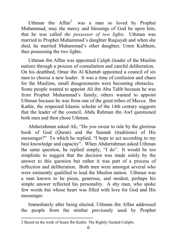Uthman ibn Affan[2](#page-3-0) was a man so loved by Prophet Muhammad, may the mercy and blessings of God be upon him, that he was called *the possessor of two lights*. Uthman was married to Prophet Muhammad's daughter Ruqiayah and when she died, he married Muhammad's other daughter, Umm Kulthum, thus possessing the two lights.

Uthman ibn Affan was appointed Caliph (leader of the Muslim nation) through a process of consultation and careful deliberation. On his deathbed, Omar ibn Al Khattab appointed a council of six men to choose a new leader. It was a time of confusion and chaos for the Muslims, small disagreements were becoming obstacles. Some people wanted to appoint Ali ibn Abu Talib because he was from Prophet Muhammad's family, others wanted to appoint Uthman because he was from one of the great tribes of Mecca. Ibn Kathir, the respected Islamic scholar of the 14th century suggests that the leader of the council, Abdu Rahman ibn Awf questioned both men and then chose Uthman.

Abdurrahman asked Ali, "Do you swear to rule by the glorious book of God (Quran) and the Sunnah (traditions) of His messenger?" To which he replied, "I hope to act according to my best knowledge and capacity". When Abdurrahman asked Uthman the same question, he replied simply, "I do". It would be too simplistic to suggest that the decision was made solely by the answer to this question but rather it was part of a process of reflection and deliberation. Both men were amongst several who were eminently qualified to lead the Muslim nation. Uthman was a man known to be pious, generous, and modest, perhaps his simple answer reflected his personality. A shy man, who spoke few words but whose heart was filled with love for God and His messenger.

Immediately after being elected, Uthman ibn Affan addressed the people from the minbar previously used by Prophet

j

<sup>2</sup> Based on the work of Imam Ibn Kathir. The Rightly Guided Caliphs.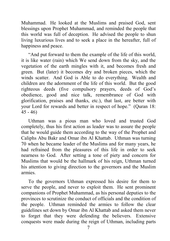Muhammad. He looked at the Muslims and praised God, sent blessings upon Prophet Muhammad, and reminded the people that this world was full of deception. He advised the people to shun living luxurious lives and to seek a place in the hereafter, full of happiness and peace.

"And put forward to them the example of the life of this world, it is like water (rain) which We send down from the sky, and the vegetation of the earth mingles with it, and becomes fresh and green. But (later) it becomes dry and broken pieces, which the winds scatter. And God is Able to do everything. Wealth and children are the adornment of the life of this world. But the good righteous deeds (five compulsory prayers, deeds of God's obedience, good and nice talk, remembrance of God with glorification, praises and thanks, etc.), that last, are better with your Lord for rewards and better in respect of hope." (Quran 18:  $45 - 46$ 

Uthman was a pious man who loved and trusted God completely, thus his first action as leader was to assure the people that he would guide them according to the way of the Prophet and Caliphs Abu Bakr and Omar ibn Al Khattab. Uthman was turning 70 when he became leader of the Muslims and for many years, he had refrained from the pleasures of this life in order to seek nearness to God. After setting a tone of piety and concern for Muslims that would be the hallmark of his reign, Uthman turned his attention to giving direction to the governors and the Muslim armies.

To the governors Uthman expressed his desire for them to serve the people, and never to exploit them. He sent prominent companions of Prophet Muhammad, as his personal deputies to the provinces to scrutinize the conduct of officials and the condition of the people. Uthman reminded the armies to follow the clear guidelines set down by Omar ibn Al Khattab and asked them never to forget that they were defending the believers. Extensive conquests were made during the reign of Uthman, including parts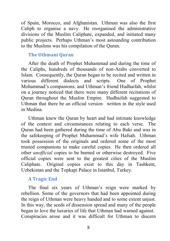of Spain, Morocco, and Afghanistan. Uthman was also the first Caliph to organise a navy. He reorganised the administrative divisions of the Muslim Caliphate, expanded, and initiated many public projects. Perhaps Uthman's most astounding contribution to the Muslims was his compilation of the Quran.

## **The Uthmani Quran**

After the death of Prophet Muhammad and during the time of the Caliphs, hundreds of thousands of non-Arabs converted to Islam. Consequently, the Quran began to be recited and written in various different dialects and scripts. One of Prophet Mohammad's companions, and Uthman's friend Hudhaifah, whilst on a journey noticed that there were many different recitations of Quran throughout the Muslim Empire. Hudhaifah suggested to Uthman that there be an official version written in the style used in Medina.

Uthman knew the Quran by heart and had intimate knowledge of the context and circumstances relating to each verse. The Quran had been gathered during the time of Abu Bakr and was in the safekeeping of Prophet Muhammad's wife Hafsah. Uthman took possession of the originals and ordered some of the most trusted companions to make careful copies. He then ordered all other *unofficial* copies to be burned or otherwise destroyed. Five official copies were sent to the greatest cities of the Muslim Caliphate. Original copies exist to this day in Tashkent, Uzbekistan and the Topkapi Palace in Istanbul, Turkey.

## **A Tragic End**

The final six years of Uthman's reign were marked by rebellion. Some of the governors that had been appointed during the reign of Uthman were heavy handed and to some extent unjust. In this way, the seeds of dissension spread and many of the people began to love the luxuries of life that Uthman had warned against. Conspiracies arose and it was difficult for Uthman to discern